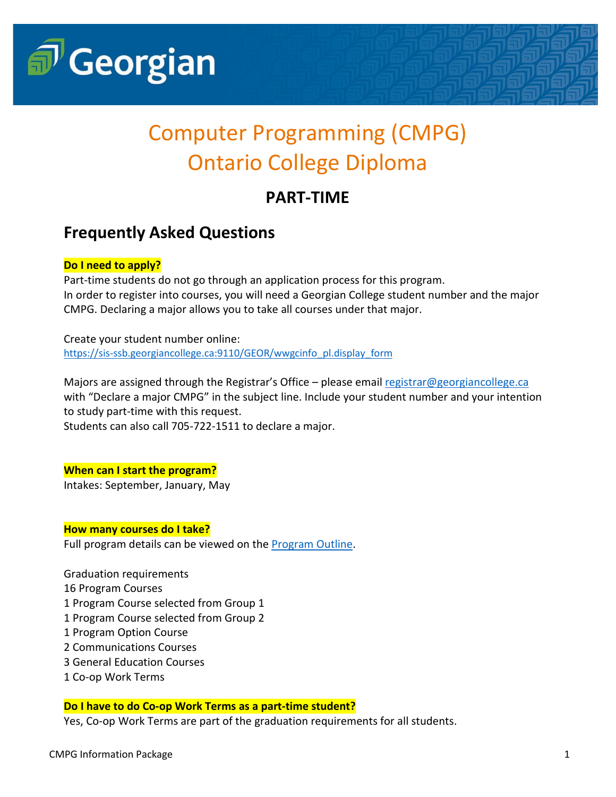

# Computer Programming (CMPG) Ontario College Diploma

# **PART-TIME**

# **Frequently Asked Questions**

## **Do I need to apply?**

Part-time students do not go through an application process for this program. In order to register into courses, you will need a Georgian College student number and the major CMPG. Declaring a major allows you to take all courses under that major.

Create your student number online: [https://sis-ssb.georgiancollege.ca:9110/GEOR/wwgcinfo\\_pl.display\\_form](https://sis-ssb.georgiancollege.ca:9110/GEOR/wwgcinfo_pl.display_form)

Majors are assigned through the Registrar's Office – please emai[l registrar@georgiancollege.ca](mailto:registrar@georgiancollege.ca) with "Declare a major CMPG" in the subject line. Include your student number and your intention to study part-time with this request.

Students can also call 705-722-1511 to declare a major.

### **When can I start the program?**

Intakes: September, January, May

#### **How many courses do I take?**

Full program details can be viewed on the [Program Outline.](https://www.georgiancollege.ca/wp-content/uploads/computer-programming-cmpg-computer-studies-2021-2022-program-outline-georgian-college.pdf)

Graduation requirements 16 Program Courses 1 Program Course selected from Group 1 1 Program Course selected from Group 2 1 Program Option Course 2 Communications Courses 3 General Education Courses 1 Co-op Work Terms

### **Do I have to do Co-op Work Terms as a part-time student?**

Yes, Co-op Work Terms are part of the graduation requirements for all students.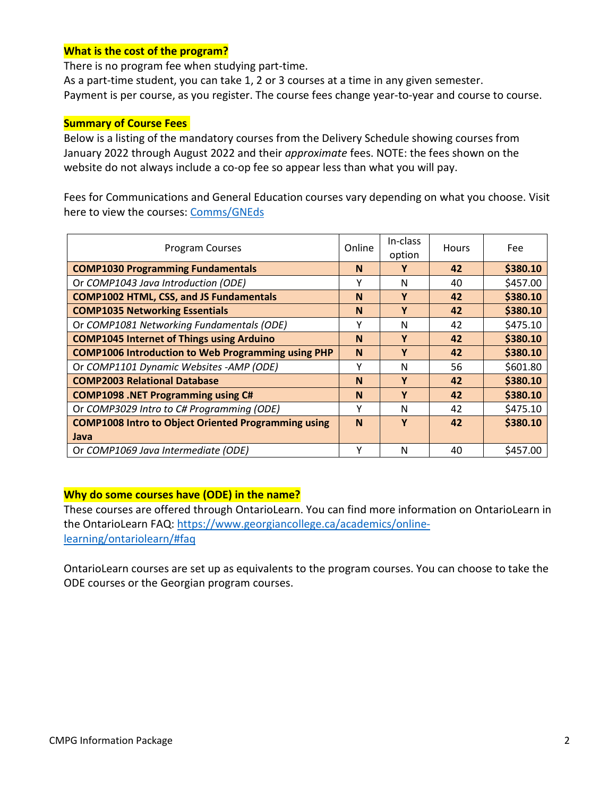#### **What is the cost of the program?**

There is no program fee when studying part-time.

As a part-time student, you can take 1, 2 or 3 courses at a time in any given semester. Payment is per course, as you register. The course fees change year-to-year and course to course.

#### **Summary of Course Fees**

Below is a listing of the mandatory courses from the Delivery Schedule showing courses from January 2022 through August 2022 and their *approximate* fees. NOTE: the fees shown on the website do not always include a co-op fee so appear less than what you will pay.

Fees for Communications and General Education courses vary depending on what you choose. Visit here to view the courses: [Comms/GNEds](https://www.georgiancollege.ca/academics/part-time-studies/search-results/?area=General+Education+Electives+and+Communication&study=&campus=)

| <b>Program Courses</b>                                     |          | In-class<br>option | Hours | Fee      |
|------------------------------------------------------------|----------|--------------------|-------|----------|
| <b>COMP1030 Programming Fundamentals</b>                   |          | γ                  | 42    | \$380.10 |
| Or COMP1043 Java Introduction (ODE)                        | γ        | N                  | 40    | \$457.00 |
| <b>COMP1002 HTML, CSS, and JS Fundamentals</b>             | <b>N</b> | Y                  | 42    | \$380.10 |
| <b>COMP1035 Networking Essentials</b>                      |          | Y                  | 42    | \$380.10 |
| Or COMP1081 Networking Fundamentals (ODE)                  | γ        | N                  | 42    | \$475.10 |
| <b>COMP1045 Internet of Things using Arduino</b>           |          | Y                  | 42    | \$380.10 |
| <b>COMP1006 Introduction to Web Programming using PHP</b>  |          | Y                  | 42    | \$380.10 |
| Or COMP1101 Dynamic Websites -AMP (ODE)                    | γ        | N                  | 56    | \$601.80 |
| <b>COMP2003 Relational Database</b>                        |          | Y                  | 42    | \$380.10 |
| <b>COMP1098 .NET Programming using C#</b>                  |          | Y                  | 42    | \$380.10 |
| Or COMP3029 Intro to C# Programming (ODE)                  |          | N                  | 42    | \$475.10 |
| <b>COMP1008 Intro to Object Oriented Programming using</b> |          | Y                  | 42    | \$380.10 |
| Java                                                       |          |                    |       |          |
| Or COMP1069 Java Intermediate (ODE)                        |          | N                  | 40    | \$457.00 |

#### **Why do some courses have (ODE) in the name?**

These courses are offered through OntarioLearn. You can find more information on OntarioLearn in the OntarioLearn FAQ: [https://www.georgiancollege.ca/academics/online](https://www.georgiancollege.ca/academics/online-learning/ontariolearn/#faq)[learning/ontariolearn/#faq](https://www.georgiancollege.ca/academics/online-learning/ontariolearn/#faq)

OntarioLearn courses are set up as equivalents to the program courses. You can choose to take the ODE courses or the Georgian program courses.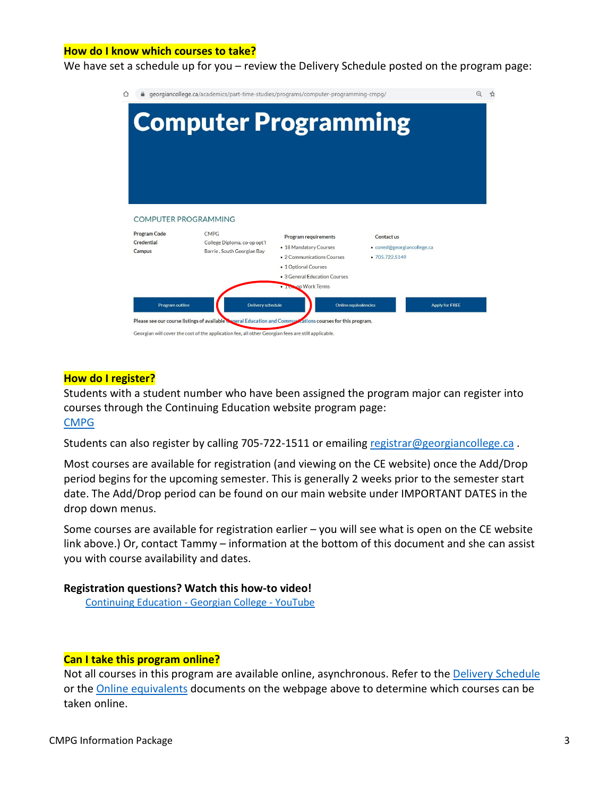#### **How do I know which courses to take?**

We have set a schedule up for you – review the Delivery Schedule posted on the program page:

| 4 georgiancollege.ca/academics/part-time-studies/programs/computer-programming-cmpg/ |                                                                                                                                                                                                                                       |                                                                                                                                       |                                                            |                       |
|--------------------------------------------------------------------------------------|---------------------------------------------------------------------------------------------------------------------------------------------------------------------------------------------------------------------------------------|---------------------------------------------------------------------------------------------------------------------------------------|------------------------------------------------------------|-----------------------|
|                                                                                      | <b>Computer Programming</b>                                                                                                                                                                                                           |                                                                                                                                       |                                                            |                       |
| <b>Program Code</b><br>Credential<br>Campus                                          | COMPUTER PROGRAMMING<br><b>CMPG</b><br>College Diploma, co-op opt'l<br>Barrie, South Georgian Bay                                                                                                                                     | Program requirements<br>• 18 Mandatory Courses<br>• 2 Communications Courses<br>• 1 Optional Courses<br>• 3 General Education Courses | Contact us<br>· coned@georgiancollege.ca<br>• 705,722,5149 |                       |
| Program outline                                                                      | Delivery schedule<br>Please see our course listings of available Coneral Education and Communications courses for this program.<br>Georgian will cover the cost of the application fee, all other Georgian fees are still applicable. | . I Coop Work Terms<br>Online equivalencies                                                                                           |                                                            | <b>Apply for FREE</b> |

#### **How do I register?**

Students with a student number who have been assigned the program major can register into courses through the Continuing Education website program page: [CMPG](https://www.georgiancollege.ca/academics/part-time-studies/programs/computer-programming-cmpg/)

Students can also register by calling 705-722-1511 or emailing [registrar@georgiancollege.ca](mailto:registrar@georgiancollege.ca).

Most courses are available for registration (and viewing on the CE website) once the Add/Drop period begins for the upcoming semester. This is generally 2 weeks prior to the semester start date. The Add/Drop period can be found on our main website under IMPORTANT DATES in the drop down menus.

Some courses are available for registration earlier – you will see what is open on the CE website link above.) Or, contact Tammy – information at the bottom of this document and she can assist you with course availability and dates.

#### **Registration questions? Watch this how-to video!**

[Continuing Education -](https://www.youtube.com/watch?v=IAXDTi7FIRI) Georgian College - YouTube

#### **Can I take this program online?**

Not all courses in this program are available online, asynchronous. Refer to the [Delivery Schedule](https://www.georgiancollege.ca/wp-content/uploads/part-time-studies-computer-programming-cmpg-fall-2021-part-time-program-delivery-schedule-georgian-college.pdf) or the [Online equivalents](https://www.georgiancollege.ca/wp-content/uploads/part-time-studies-computer-programming-cmpg-online-course-equivalents-georgian-college-2021-09-13.pdf) documents on the webpage above to determine which courses can be taken online.